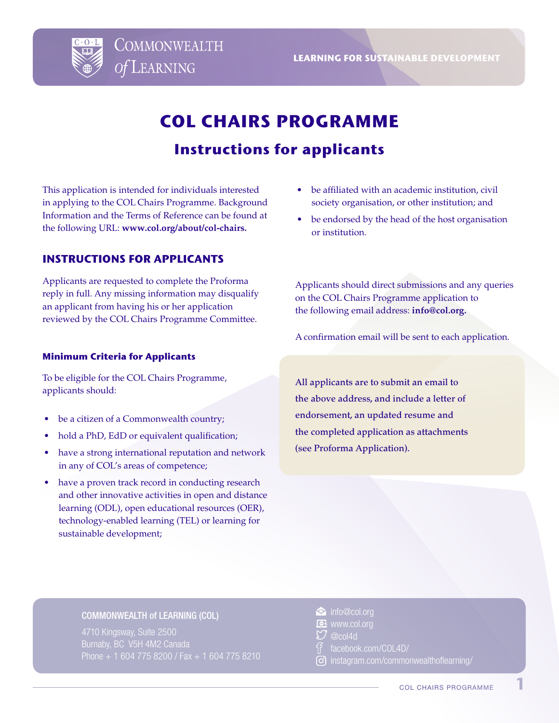

**LEARNING FOR SUSTAINABLE DEVELOPMENT**

# **COL CHAIRS PROGRAMME Instructions for applicants**

This application is intended for individuals interested in applying to the COL Chairs Programme. Background Information and the Terms of Reference can be found at the following URL: **www.col.org/about/col-chairs.**

# **INSTRUCTIONS FOR APPLICANTS**

Applicants are requested to complete the Proforma reply in full. Any missing information may disqualify an applicant from having his or her application reviewed by the COL Chairs Programme Committee.

### **Minimum Criteria for Applicants**

To be eligible for the COL Chairs Programme, applicants should:

- be a citizen of a Commonwealth country;
- hold a PhD, EdD or equivalent qualification;
- have a strong international reputation and network in any of COL's areas of competence;
- have a proven track record in conducting research and other innovative activities in open and distance learning (ODL), open educational resources (OER), technology-enabled learning (TEL) or learning for sustainable development;
- be affiliated with an academic institution, civil society organisation, or other institution; and
- be endorsed by the head of the host organisation or institution.

Applicants should direct submissions and any queries on the COL Chairs Programme application to the following email address: **info@col.org.** 

A confirmation email will be sent to each application.

All applicants are to submit an email to the above address, and include a letter of endorsement, an updated resume and the completed application as attachments (see Proforma Application).

#### COMMONWEALTH of LEARNING (COL)

- info@col.org
- **DE** www.col.org
- ${\mathcal{O}}$  @col4d
- f<sup>a</sup> facebook.com/COL4D/
- instagram.com/commonwealthoflearning/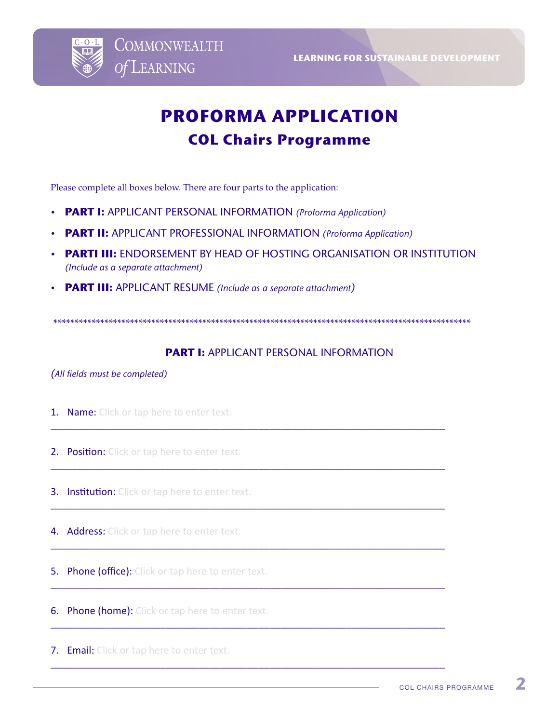

# **PROFORMA APPLICATION COL Chairs Programme**

Please complete all boxes below. There are four parts to the application:

- **PART I:** APPLICANT PERSONAL INFORMATION *(Proforma Application)*
- **PART II:** APPLICANT PROFESSIONAL INFORMATION *(Proforma Application)*
- **PARTI III:** ENDORSEMENT BY HEAD OF HOSTING ORGANISATION OR INSTITUTION *(Include as a separate attachment)*
- **PART III:** APPLICANT RESUME *(Include as a separate attachment)*

\*\*\*\*\*\*\*\*\*\*\*\*\*\*\*\*\*\*\*\*\*\*\*\*\*\*\*\*\*\*\*\*\*\*\*\*\*\*\*\*\*\*\*\*\*\*\*\*\*\*\*\*\*\*\*\*\*\*\*\*\*\*\*\*\*\*\*\*\*\*\*\*\*\*\*\*\*\*\*\*\*\*\*\*\*\*\*\*\*\*\*\*\*\*\*\*\*\*

\_\_\_\_\_\_\_\_\_\_\_\_\_\_\_\_\_\_\_\_\_\_\_\_\_\_\_\_\_\_\_\_\_\_\_\_\_\_\_\_\_\_\_\_\_\_\_\_\_\_\_\_\_\_\_\_\_\_\_\_\_\_\_\_\_\_\_\_\_\_\_\_

\_\_\_\_\_\_\_\_\_\_\_\_\_\_\_\_\_\_\_\_\_\_\_\_\_\_\_\_\_\_\_\_\_\_\_\_\_\_\_\_\_\_\_\_\_\_\_\_\_\_\_\_\_\_\_\_\_\_\_\_\_\_\_\_\_\_\_\_\_\_\_\_

\_\_\_\_\_\_\_\_\_\_\_\_\_\_\_\_\_\_\_\_\_\_\_\_\_\_\_\_\_\_\_\_\_\_\_\_\_\_\_\_\_\_\_\_\_\_\_\_\_\_\_\_\_\_\_\_\_\_\_\_\_\_\_\_\_\_\_\_\_\_\_\_

\_\_\_\_\_\_\_\_\_\_\_\_\_\_\_\_\_\_\_\_\_\_\_\_\_\_\_\_\_\_\_\_\_\_\_\_\_\_\_\_\_\_\_\_\_\_\_\_\_\_\_\_\_\_\_\_\_\_\_\_\_\_\_\_\_\_\_\_\_\_\_\_

\_\_\_\_\_\_\_\_\_\_\_\_\_\_\_\_\_\_\_\_\_\_\_\_\_\_\_\_\_\_\_\_\_\_\_\_\_\_\_\_\_\_\_\_\_\_\_\_\_\_\_\_\_\_\_\_\_\_\_\_\_\_\_\_\_\_\_\_\_\_\_\_

\_\_\_\_\_\_\_\_\_\_\_\_\_\_\_\_\_\_\_\_\_\_\_\_\_\_\_\_\_\_\_\_\_\_\_\_\_\_\_\_\_\_\_\_\_\_\_\_\_\_\_\_\_\_\_\_\_\_\_\_\_\_\_\_\_\_\_\_\_\_\_\_

\_\_\_\_\_\_\_\_\_\_\_\_\_\_\_\_\_\_\_\_\_\_\_\_\_\_\_\_\_\_\_\_\_\_\_\_\_\_\_\_\_\_\_\_\_\_\_\_\_\_\_\_\_\_\_\_\_\_\_\_\_\_\_\_\_\_\_\_\_\_\_\_

# **PART I:** APPLICANT PERSONAL INFORMATION

*(All fields must be completed)* 

- **1. Name:** Click or tap here to enter text.
- 2. Position: Click or tap here to enter text.
- **3. Institution:** Click or tap here to enter text.
- 4. Address: Click or tap here to enter text.
- **5. Phone (office):** Click or tap here to enter text.
- **6. Phone (home):** Click or tap here to enter text.
- **7. Email:** Click or tap here to enter text.